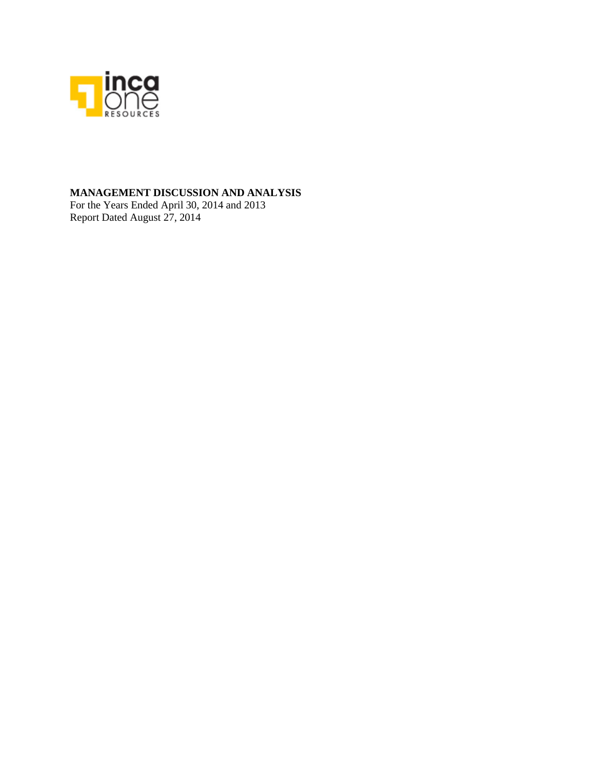

## **MANAGEMENT DISCUSSION AND ANALYSIS**

For the Years Ended April 30, 2014 and 2013 Report Dated August 27, 2014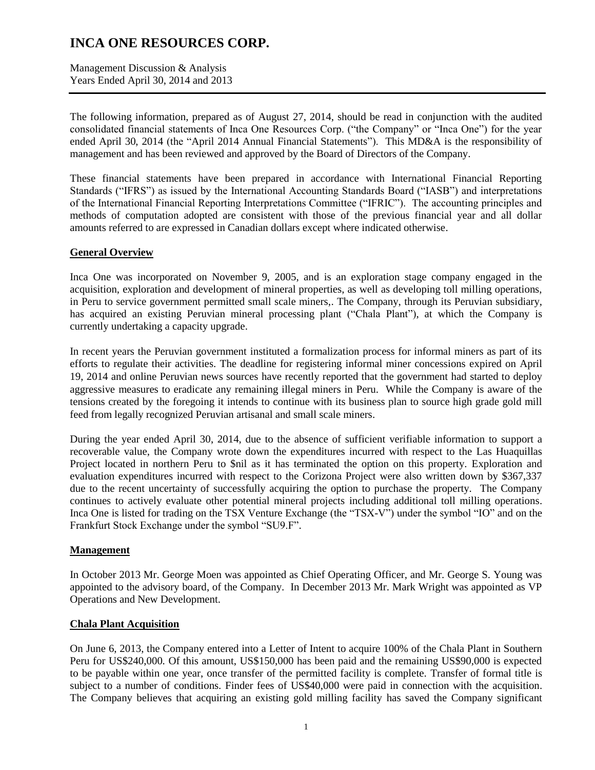Management Discussion & Analysis Years Ended April 30, 2014 and 2013

The following information, prepared as of August 27, 2014, should be read in conjunction with the audited consolidated financial statements of Inca One Resources Corp. ("the Company" or "Inca One") for the year ended April 30, 2014 (the "April 2014 Annual Financial Statements"). This MD&A is the responsibility of management and has been reviewed and approved by the Board of Directors of the Company.

These financial statements have been prepared in accordance with International Financial Reporting Standards ("IFRS") as issued by the International Accounting Standards Board ("IASB") and interpretations of the International Financial Reporting Interpretations Committee ("IFRIC"). The accounting principles and methods of computation adopted are consistent with those of the previous financial year and all dollar amounts referred to are expressed in Canadian dollars except where indicated otherwise.

### **General Overview**

Inca One was incorporated on November 9, 2005, and is an exploration stage company engaged in the acquisition, exploration and development of mineral properties, as well as developing toll milling operations, in Peru to service government permitted small scale miners,. The Company, through its Peruvian subsidiary, has acquired an existing Peruvian mineral processing plant ("Chala Plant"), at which the Company is currently undertaking a capacity upgrade.

In recent years the Peruvian government instituted a formalization process for informal miners as part of its efforts to regulate their activities. The deadline for registering informal miner concessions expired on April 19, 2014 and online Peruvian news sources have recently reported that the government had started to deploy aggressive measures to eradicate any remaining illegal miners in Peru. While the Company is aware of the tensions created by the foregoing it intends to continue with its business plan to source high grade gold mill feed from legally recognized Peruvian artisanal and small scale miners.

During the year ended April 30, 2014, due to the absence of sufficient verifiable information to support a recoverable value, the Company wrote down the expenditures incurred with respect to the Las Huaquillas Project located in northern Peru to \$nil as it has terminated the option on this property. Exploration and evaluation expenditures incurred with respect to the Corizona Project were also written down by \$367,337 due to the recent uncertainty of successfully acquiring the option to purchase the property. The Company continues to actively evaluate other potential mineral projects including additional toll milling operations. Inca One is listed for trading on the TSX Venture Exchange (the "TSX-V") under the symbol "IO" and on the Frankfurt Stock Exchange under the symbol "SU9.F".

### **Management**

In October 2013 Mr. George Moen was appointed as Chief Operating Officer, and Mr. George S. Young was appointed to the advisory board, of the Company. In December 2013 Mr. Mark Wright was appointed as VP Operations and New Development.

### **Chala Plant Acquisition**

On June 6, 2013, the Company entered into a Letter of Intent to acquire 100% of the Chala Plant in Southern Peru for US\$240,000. Of this amount, US\$150,000 has been paid and the remaining US\$90,000 is expected to be payable within one year, once transfer of the permitted facility is complete. Transfer of formal title is subject to a number of conditions. Finder fees of US\$40,000 were paid in connection with the acquisition. The Company believes that acquiring an existing gold milling facility has saved the Company significant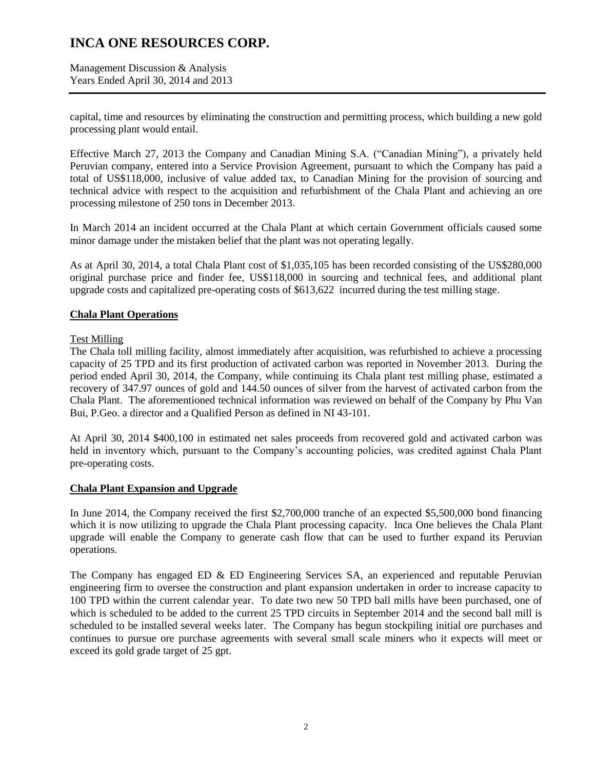Management Discussion & Analysis Years Ended April 30, 2014 and 2013

capital, time and resources by eliminating the construction and permitting process, which building a new gold processing plant would entail.

Effective March 27, 2013 the Company and Canadian Mining S.A. ("Canadian Mining"), a privately held Peruvian company, entered into a Service Provision Agreement, pursuant to which the Company has paid a total of US\$118,000, inclusive of value added tax, to Canadian Mining for the provision of sourcing and technical advice with respect to the acquisition and refurbishment of the Chala Plant and achieving an ore processing milestone of 250 tons in December 2013.

In March 2014 an incident occurred at the Chala Plant at which certain Government officials caused some minor damage under the mistaken belief that the plant was not operating legally.

As at April 30, 2014, a total Chala Plant cost of \$1,035,105 has been recorded consisting of the US\$280,000 original purchase price and finder fee, US\$118,000 in sourcing and technical fees, and additional plant upgrade costs and capitalized pre-operating costs of \$613,622 incurred during the test milling stage.

### **Chala Plant Operations**

### Test Milling

The Chala toll milling facility, almost immediately after acquisition, was refurbished to achieve a processing capacity of 25 TPD and its first production of activated carbon was reported in November 2013. During the period ended April 30, 2014, the Company, while continuing its Chala plant test milling phase, estimated a recovery of 347.97 ounces of gold and 144.50 ounces of silver from the harvest of activated carbon from the Chala Plant. The aforementioned technical information was reviewed on behalf of the Company by Phu Van Bui, P.Geo. a director and a Qualified Person as defined in NI 43-101.

At April 30, 2014 \$400,100 in estimated net sales proceeds from recovered gold and activated carbon was held in inventory which, pursuant to the Company's accounting policies, was credited against Chala Plant pre-operating costs.

### **Chala Plant Expansion and Upgrade**

In June 2014, the Company received the first \$2,700,000 tranche of an expected \$5,500,000 bond financing which it is now utilizing to upgrade the Chala Plant processing capacity. Inca One believes the Chala Plant upgrade will enable the Company to generate cash flow that can be used to further expand its Peruvian operations.

The Company has engaged ED & ED Engineering Services SA, an experienced and reputable Peruvian engineering firm to oversee the construction and plant expansion undertaken in order to increase capacity to 100 TPD within the current calendar year. To date two new 50 TPD ball mills have been purchased, one of which is scheduled to be added to the current 25 TPD circuits in September 2014 and the second ball mill is scheduled to be installed several weeks later. The Company has begun stockpiling initial ore purchases and continues to pursue ore purchase agreements with several small scale miners who it expects will meet or exceed its gold grade target of 25 gpt.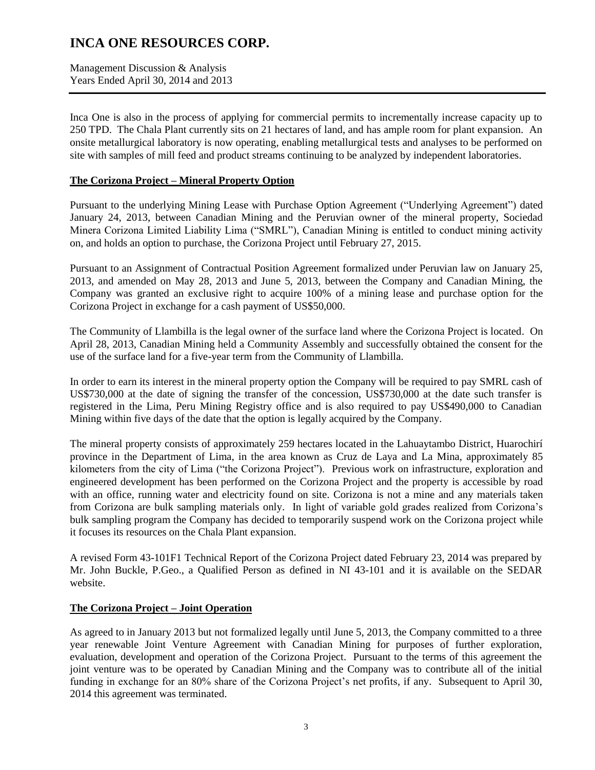Management Discussion & Analysis Years Ended April 30, 2014 and 2013

Inca One is also in the process of applying for commercial permits to incrementally increase capacity up to 250 TPD. The Chala Plant currently sits on 21 hectares of land, and has ample room for plant expansion. An onsite metallurgical laboratory is now operating, enabling metallurgical tests and analyses to be performed on site with samples of mill feed and product streams continuing to be analyzed by independent laboratories.

### **The Corizona Project – Mineral Property Option**

Pursuant to the underlying Mining Lease with Purchase Option Agreement ("Underlying Agreement") dated January 24, 2013, between Canadian Mining and the Peruvian owner of the mineral property, Sociedad Minera Corizona Limited Liability Lima ("SMRL"), Canadian Mining is entitled to conduct mining activity on, and holds an option to purchase, the Corizona Project until February 27, 2015.

Pursuant to an Assignment of Contractual Position Agreement formalized under Peruvian law on January 25, 2013, and amended on May 28, 2013 and June 5, 2013, between the Company and Canadian Mining, the Company was granted an exclusive right to acquire 100% of a mining lease and purchase option for the Corizona Project in exchange for a cash payment of US\$50,000.

The Community of Llambilla is the legal owner of the surface land where the Corizona Project is located. On April 28, 2013, Canadian Mining held a Community Assembly and successfully obtained the consent for the use of the surface land for a five-year term from the Community of Llambilla.

In order to earn its interest in the mineral property option the Company will be required to pay SMRL cash of US\$730,000 at the date of signing the transfer of the concession, US\$730,000 at the date such transfer is registered in the Lima, Peru Mining Registry office and is also required to pay US\$490,000 to Canadian Mining within five days of the date that the option is legally acquired by the Company.

The mineral property consists of approximately 259 hectares located in the Lahuaytambo District, Huarochirí province in the Department of Lima, in the area known as Cruz de Laya and La Mina, approximately 85 kilometers from the city of Lima ("the Corizona Project"). Previous work on infrastructure, exploration and engineered development has been performed on the Corizona Project and the property is accessible by road with an office, running water and electricity found on site. Corizona is not a mine and any materials taken from Corizona are bulk sampling materials only. In light of variable gold grades realized from Corizona's bulk sampling program the Company has decided to temporarily suspend work on the Corizona project while it focuses its resources on the Chala Plant expansion.

A revised Form 43-101F1 Technical Report of the Corizona Project dated February 23, 2014 was prepared by Mr. John Buckle, P.Geo., a Qualified Person as defined in NI 43-101 and it is available on the SEDAR website.

### **The Corizona Project – Joint Operation**

As agreed to in January 2013 but not formalized legally until June 5, 2013, the Company committed to a three year renewable Joint Venture Agreement with Canadian Mining for purposes of further exploration, evaluation, development and operation of the Corizona Project. Pursuant to the terms of this agreement the joint venture was to be operated by Canadian Mining and the Company was to contribute all of the initial funding in exchange for an 80% share of the Corizona Project's net profits, if any. Subsequent to April 30, 2014 this agreement was terminated.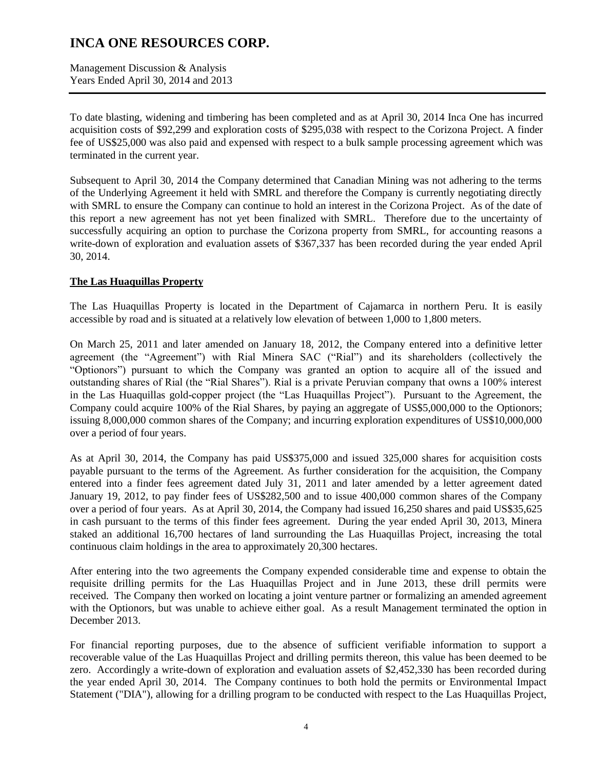Management Discussion & Analysis Years Ended April 30, 2014 and 2013

To date blasting, widening and timbering has been completed and as at April 30, 2014 Inca One has incurred acquisition costs of \$92,299 and exploration costs of \$295,038 with respect to the Corizona Project. A finder fee of US\$25,000 was also paid and expensed with respect to a bulk sample processing agreement which was terminated in the current year.

Subsequent to April 30, 2014 the Company determined that Canadian Mining was not adhering to the terms of the Underlying Agreement it held with SMRL and therefore the Company is currently negotiating directly with SMRL to ensure the Company can continue to hold an interest in the Corizona Project. As of the date of this report a new agreement has not yet been finalized with SMRL. Therefore due to the uncertainty of successfully acquiring an option to purchase the Corizona property from SMRL, for accounting reasons a write-down of exploration and evaluation assets of \$367,337 has been recorded during the year ended April 30, 2014.

### **The Las Huaquillas Property**

The Las Huaquillas Property is located in the Department of Cajamarca in northern Peru. It is easily accessible by road and is situated at a relatively low elevation of between 1,000 to 1,800 meters.

On March 25, 2011 and later amended on January 18, 2012, the Company entered into a definitive letter agreement (the "Agreement") with Rial Minera SAC ("Rial") and its shareholders (collectively the "Optionors") pursuant to which the Company was granted an option to acquire all of the issued and outstanding shares of Rial (the "Rial Shares"). Rial is a private Peruvian company that owns a 100% interest in the Las Huaquillas gold-copper project (the "Las Huaquillas Project"). Pursuant to the Agreement, the Company could acquire 100% of the Rial Shares, by paying an aggregate of US\$5,000,000 to the Optionors; issuing 8,000,000 common shares of the Company; and incurring exploration expenditures of US\$10,000,000 over a period of four years.

As at April 30, 2014, the Company has paid US\$375,000 and issued 325,000 shares for acquisition costs payable pursuant to the terms of the Agreement. As further consideration for the acquisition, the Company entered into a finder fees agreement dated July 31, 2011 and later amended by a letter agreement dated January 19, 2012, to pay finder fees of US\$282,500 and to issue 400,000 common shares of the Company over a period of four years. As at April 30, 2014, the Company had issued 16,250 shares and paid US\$35,625 in cash pursuant to the terms of this finder fees agreement. During the year ended April 30, 2013, Minera staked an additional 16,700 hectares of land surrounding the Las Huaquillas Project, increasing the total continuous claim holdings in the area to approximately 20,300 hectares.

After entering into the two agreements the Company expended considerable time and expense to obtain the requisite drilling permits for the Las Huaquillas Project and in June 2013, these drill permits were received. The Company then worked on locating a joint venture partner or formalizing an amended agreement with the Optionors, but was unable to achieve either goal. As a result Management terminated the option in December 2013.

For financial reporting purposes, due to the absence of sufficient verifiable information to support a recoverable value of the Las Huaquillas Project and drilling permits thereon, this value has been deemed to be zero. Accordingly a write-down of exploration and evaluation assets of \$2,452,330 has been recorded during the year ended April 30, 2014. The Company continues to both hold the permits or Environmental Impact Statement ("DIA"), allowing for a drilling program to be conducted with respect to the Las Huaquillas Project,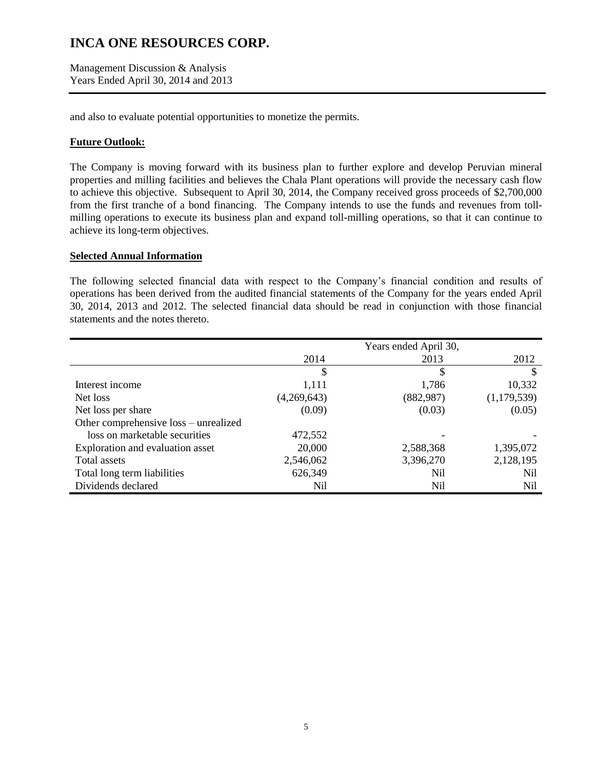Management Discussion & Analysis Years Ended April 30, 2014 and 2013

and also to evaluate potential opportunities to monetize the permits.

### **Future Outlook:**

The Company is moving forward with its business plan to further explore and develop Peruvian mineral properties and milling facilities and believes the Chala Plant operations will provide the necessary cash flow to achieve this objective. Subsequent to April 30, 2014, the Company received gross proceeds of \$2,700,000 from the first tranche of a bond financing. The Company intends to use the funds and revenues from tollmilling operations to execute its business plan and expand toll-milling operations, so that it can continue to achieve its long-term objectives.

### **Selected Annual Information**

The following selected financial data with respect to the Company's financial condition and results of operations has been derived from the audited financial statements of the Company for the years ended April 30, 2014, 2013 and 2012. The selected financial data should be read in conjunction with those financial statements and the notes thereto.

|                                       |             | Years ended April 30, |             |
|---------------------------------------|-------------|-----------------------|-------------|
|                                       | 2014        | 2013                  | 2012        |
|                                       | \$          | \$                    | S           |
| Interest income                       | 1,111       | 1,786                 | 10,332      |
| Net loss                              | (4,269,643) | (882, 987)            | (1,179,539) |
| Net loss per share                    | (0.09)      | (0.03)                | (0.05)      |
| Other comprehensive loss - unrealized |             |                       |             |
| loss on marketable securities         | 472,552     |                       |             |
| Exploration and evaluation asset      | 20,000      | 2,588,368             | 1,395,072   |
| Total assets                          | 2,546,062   | 3,396,270             | 2,128,195   |
| Total long term liabilities           | 626,349     | Nil                   | Nil         |
| Dividends declared                    | Nil         | Nil                   | Nil         |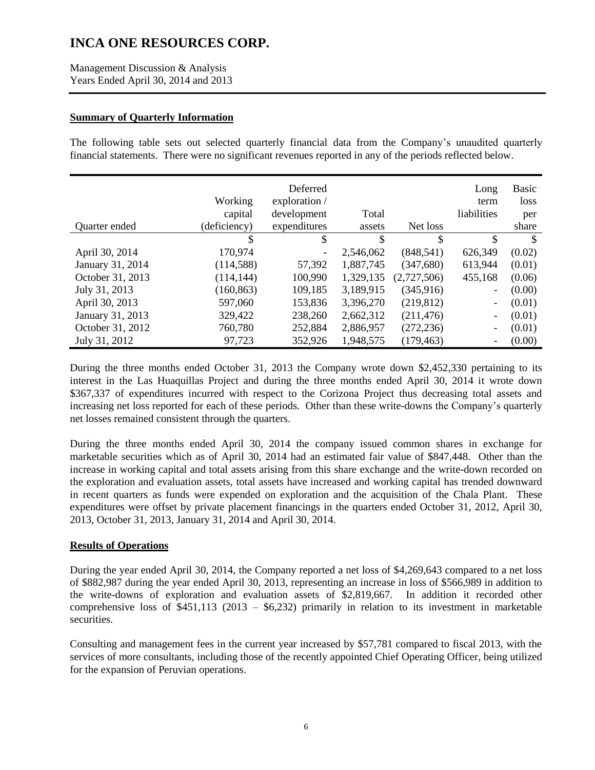Management Discussion & Analysis Years Ended April 30, 2014 and 2013

### **Summary of Quarterly Information**

The following table sets out selected quarterly financial data from the Company's unaudited quarterly financial statements. There were no significant revenues reported in any of the periods reflected below.

|                  |              | Deferred                 |           |             | Long                     | <b>Basic</b>  |
|------------------|--------------|--------------------------|-----------|-------------|--------------------------|---------------|
|                  | Working      | exploration /            |           |             | term                     | loss          |
|                  | capital      | development              | Total     |             | liabilities              | per           |
| Quarter ended    | (deficiency) | expenditures             | assets    | Net loss    |                          | share         |
|                  | \$           | \$                       | \$        | \$          | \$                       | <sup>\$</sup> |
| April 30, 2014   | 170,974      | $\overline{\phantom{a}}$ | 2,546,062 | (848, 541)  | 626,349                  | (0.02)        |
| January 31, 2014 | (114,588)    | 57,392                   | 1,887,745 | (347,680)   | 613,944                  | (0.01)        |
| October 31, 2013 | (114, 144)   | 100,990                  | 1,329,135 | (2,727,506) | 455,168                  | (0.06)        |
| July 31, 2013    | (160, 863)   | 109,185                  | 3,189,915 | (345,916)   | $\qquad \qquad -$        | (0.00)        |
| April 30, 2013   | 597,060      | 153,836                  | 3,396,270 | (219, 812)  | $\overline{\phantom{a}}$ | (0.01)        |
| January 31, 2013 | 329,422      | 238,260                  | 2,662,312 | (211, 476)  | $\overline{\phantom{a}}$ | (0.01)        |
| October 31, 2012 | 760,780      | 252,884                  | 2,886,957 | (272, 236)  | $\overline{\phantom{a}}$ | (0.01)        |
| July 31, 2012    | 97,723       | 352,926                  | 1,948,575 | (179, 463)  | $\overline{\phantom{a}}$ | (0.00)        |

During the three months ended October 31, 2013 the Company wrote down \$2,452,330 pertaining to its interest in the Las Huaquillas Project and during the three months ended April 30, 2014 it wrote down \$367,337 of expenditures incurred with respect to the Corizona Project thus decreasing total assets and increasing net loss reported for each of these periods. Other than these write-downs the Company's quarterly net losses remained consistent through the quarters.

During the three months ended April 30, 2014 the company issued common shares in exchange for marketable securities which as of April 30, 2014 had an estimated fair value of \$847,448. Other than the increase in working capital and total assets arising from this share exchange and the write-down recorded on the exploration and evaluation assets, total assets have increased and working capital has trended downward in recent quarters as funds were expended on exploration and the acquisition of the Chala Plant. These expenditures were offset by private placement financings in the quarters ended October 31, 2012, April 30, 2013, October 31, 2013, January 31, 2014 and April 30, 2014.

## **Results of Operations**

During the year ended April 30, 2014, the Company reported a net loss of \$4,269,643 compared to a net loss of \$882,987 during the year ended April 30, 2013, representing an increase in loss of \$566,989 in addition to the write-downs of exploration and evaluation assets of \$2,819,667. In addition it recorded other comprehensive loss of  $$451,113$  (2013 –  $$6,232$ ) primarily in relation to its investment in marketable securities.

Consulting and management fees in the current year increased by \$57,781 compared to fiscal 2013, with the services of more consultants, including those of the recently appointed Chief Operating Officer, being utilized for the expansion of Peruvian operations.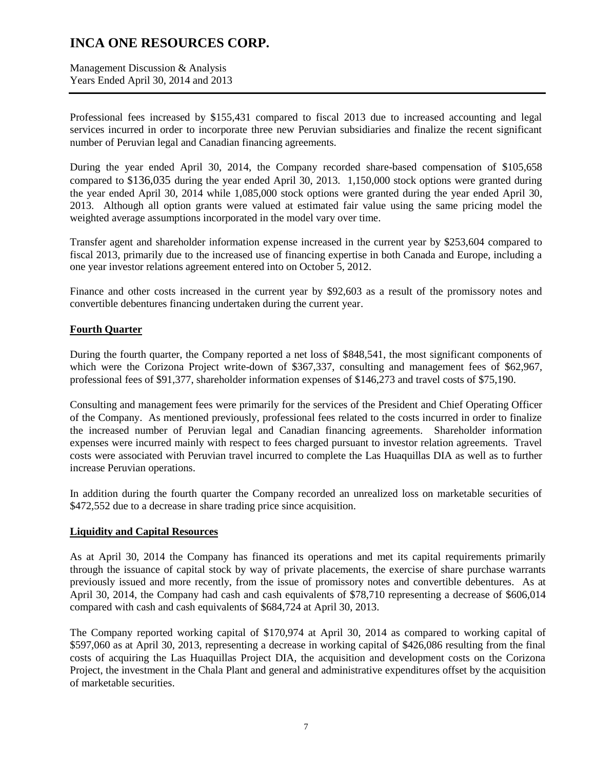Management Discussion & Analysis Years Ended April 30, 2014 and 2013

Professional fees increased by \$155,431 compared to fiscal 2013 due to increased accounting and legal services incurred in order to incorporate three new Peruvian subsidiaries and finalize the recent significant number of Peruvian legal and Canadian financing agreements.

During the year ended April 30, 2014, the Company recorded share-based compensation of \$105,658 compared to \$136,035 during the year ended April 30, 2013. 1,150,000 stock options were granted during the year ended April 30, 2014 while 1,085,000 stock options were granted during the year ended April 30, 2013. Although all option grants were valued at estimated fair value using the same pricing model the weighted average assumptions incorporated in the model vary over time.

Transfer agent and shareholder information expense increased in the current year by \$253,604 compared to fiscal 2013, primarily due to the increased use of financing expertise in both Canada and Europe, including a one year investor relations agreement entered into on October 5, 2012.

Finance and other costs increased in the current year by \$92,603 as a result of the promissory notes and convertible debentures financing undertaken during the current year.

### **Fourth Quarter**

During the fourth quarter, the Company reported a net loss of \$848,541, the most significant components of which were the Corizona Project write-down of \$367,337, consulting and management fees of \$62,967, professional fees of \$91,377, shareholder information expenses of \$146,273 and travel costs of \$75,190.

Consulting and management fees were primarily for the services of the President and Chief Operating Officer of the Company. As mentioned previously, professional fees related to the costs incurred in order to finalize the increased number of Peruvian legal and Canadian financing agreements. Shareholder information expenses were incurred mainly with respect to fees charged pursuant to investor relation agreements. Travel costs were associated with Peruvian travel incurred to complete the Las Huaquillas DIA as well as to further increase Peruvian operations.

In addition during the fourth quarter the Company recorded an unrealized loss on marketable securities of \$472,552 due to a decrease in share trading price since acquisition.

### **Liquidity and Capital Resources**

As at April 30, 2014 the Company has financed its operations and met its capital requirements primarily through the issuance of capital stock by way of private placements, the exercise of share purchase warrants previously issued and more recently, from the issue of promissory notes and convertible debentures. As at April 30, 2014, the Company had cash and cash equivalents of \$78,710 representing a decrease of \$606,014 compared with cash and cash equivalents of \$684,724 at April 30, 2013.

The Company reported working capital of \$170,974 at April 30, 2014 as compared to working capital of \$597,060 as at April 30, 2013, representing a decrease in working capital of \$426,086 resulting from the final costs of acquiring the Las Huaquillas Project DIA, the acquisition and development costs on the Corizona Project, the investment in the Chala Plant and general and administrative expenditures offset by the acquisition of marketable securities.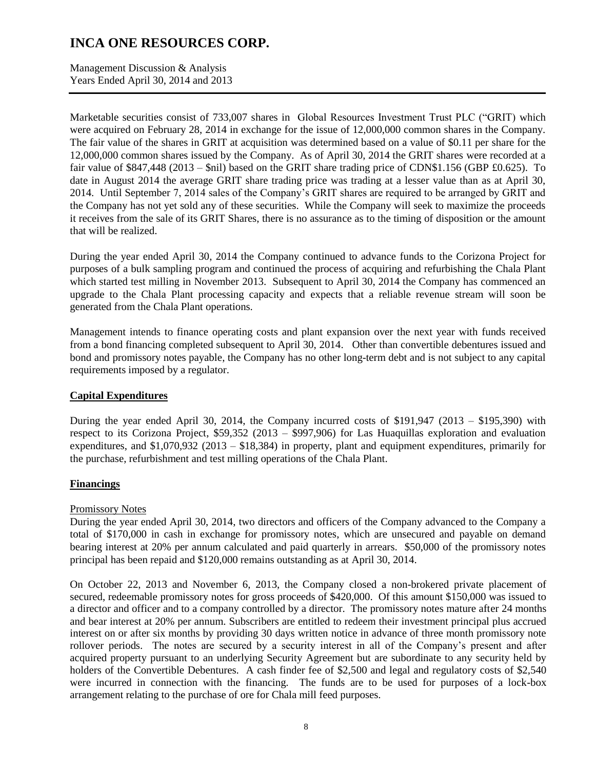Management Discussion & Analysis Years Ended April 30, 2014 and 2013

Marketable securities consist of 733,007 shares in Global Resources Investment Trust PLC ("GRIT) which were acquired on February 28, 2014 in exchange for the issue of 12,000,000 common shares in the Company. The fair value of the shares in GRIT at acquisition was determined based on a value of \$0.11 per share for the 12,000,000 common shares issued by the Company. As of April 30, 2014 the GRIT shares were recorded at a fair value of \$847,448 (2013 – \$nil) based on the GRIT share trading price of CDN\$1.156 (GBP £0.625). To date in August 2014 the average GRIT share trading price was trading at a lesser value than as at April 30, 2014. Until September 7, 2014 sales of the Company's GRIT shares are required to be arranged by GRIT and the Company has not yet sold any of these securities. While the Company will seek to maximize the proceeds it receives from the sale of its GRIT Shares, there is no assurance as to the timing of disposition or the amount that will be realized.

During the year ended April 30, 2014 the Company continued to advance funds to the Corizona Project for purposes of a bulk sampling program and continued the process of acquiring and refurbishing the Chala Plant which started test milling in November 2013. Subsequent to April 30, 2014 the Company has commenced an upgrade to the Chala Plant processing capacity and expects that a reliable revenue stream will soon be generated from the Chala Plant operations.

Management intends to finance operating costs and plant expansion over the next year with funds received from a bond financing completed subsequent to April 30, 2014. Other than convertible debentures issued and bond and promissory notes payable, the Company has no other long-term debt and is not subject to any capital requirements imposed by a regulator.

## **Capital Expenditures**

During the year ended April 30, 2014, the Company incurred costs of  $$191,947$  (2013 –  $$195,390$ ) with respect to its Corizona Project, \$59,352 (2013 – \$997,906) for Las Huaquillas exploration and evaluation expenditures, and \$1,070,932 (2013 – \$18,384) in property, plant and equipment expenditures, primarily for the purchase, refurbishment and test milling operations of the Chala Plant.

### **Financings**

### Promissory Notes

During the year ended April 30, 2014, two directors and officers of the Company advanced to the Company a total of \$170,000 in cash in exchange for promissory notes, which are unsecured and payable on demand bearing interest at 20% per annum calculated and paid quarterly in arrears. \$50,000 of the promissory notes principal has been repaid and \$120,000 remains outstanding as at April 30, 2014.

On October 22, 2013 and November 6, 2013, the Company closed a non-brokered private placement of secured, redeemable promissory notes for gross proceeds of \$420,000. Of this amount \$150,000 was issued to a director and officer and to a company controlled by a director. The promissory notes mature after 24 months and bear interest at 20% per annum. Subscribers are entitled to redeem their investment principal plus accrued interest on or after six months by providing 30 days written notice in advance of three month promissory note rollover periods. The notes are secured by a security interest in all of the Company's present and after acquired property pursuant to an underlying Security Agreement but are subordinate to any security held by holders of the Convertible Debentures. A cash finder fee of \$2,500 and legal and regulatory costs of \$2,540 were incurred in connection with the financing. The funds are to be used for purposes of a lock-box arrangement relating to the purchase of ore for Chala mill feed purposes.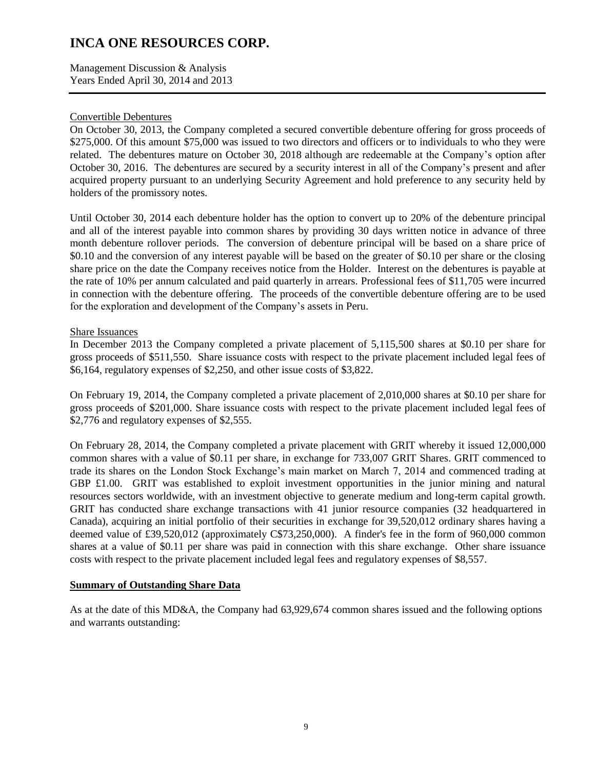Management Discussion & Analysis Years Ended April 30, 2014 and 2013

### Convertible Debentures

On October 30, 2013, the Company completed a secured convertible debenture offering for gross proceeds of \$275,000. Of this amount \$75,000 was issued to two directors and officers or to individuals to who they were related. The debentures mature on October 30, 2018 although are redeemable at the Company's option after October 30, 2016. The debentures are secured by a security interest in all of the Company's present and after acquired property pursuant to an underlying Security Agreement and hold preference to any security held by holders of the promissory notes.

Until October 30, 2014 each debenture holder has the option to convert up to 20% of the debenture principal and all of the interest payable into common shares by providing 30 days written notice in advance of three month debenture rollover periods. The conversion of debenture principal will be based on a share price of \$0.10 and the conversion of any interest payable will be based on the greater of \$0.10 per share or the closing share price on the date the Company receives notice from the Holder. Interest on the debentures is payable at the rate of 10% per annum calculated and paid quarterly in arrears. Professional fees of \$11,705 were incurred in connection with the debenture offering. The proceeds of the convertible debenture offering are to be used for the exploration and development of the Company's assets in Peru.

### Share Issuances

In December 2013 the Company completed a private placement of 5,115,500 shares at \$0.10 per share for gross proceeds of \$511,550. Share issuance costs with respect to the private placement included legal fees of \$6,164, regulatory expenses of \$2,250, and other issue costs of \$3,822.

On February 19, 2014, the Company completed a private placement of 2,010,000 shares at \$0.10 per share for gross proceeds of \$201,000. Share issuance costs with respect to the private placement included legal fees of \$2,776 and regulatory expenses of \$2,555.

On February 28, 2014, the Company completed a private placement with GRIT whereby it issued 12,000,000 common shares with a value of \$0.11 per share, in exchange for 733,007 GRIT Shares. GRIT commenced to trade its shares on the London Stock Exchange's main market on March 7, 2014 and commenced trading at GBP £1.00. GRIT was established to exploit investment opportunities in the junior mining and natural resources sectors worldwide, with an investment objective to generate medium and long-term capital growth. GRIT has conducted share exchange transactions with 41 junior resource companies (32 headquartered in Canada), acquiring an initial portfolio of their securities in exchange for 39,520,012 ordinary shares having a deemed value of £39,520,012 (approximately C\$73,250,000). A finder's fee in the form of 960,000 common shares at a value of \$0.11 per share was paid in connection with this share exchange. Other share issuance costs with respect to the private placement included legal fees and regulatory expenses of \$8,557.

### **Summary of Outstanding Share Data**

As at the date of this MD&A, the Company had 63,929,674 common shares issued and the following options and warrants outstanding: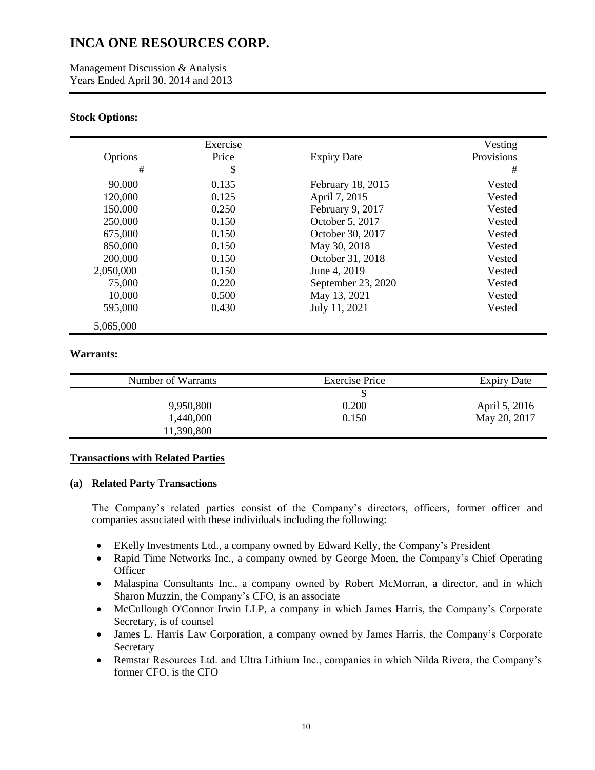Management Discussion & Analysis Years Ended April 30, 2014 and 2013

### **Stock Options:**

|           | Exercise      |                    | Vesting    |
|-----------|---------------|--------------------|------------|
| Options   | Price         | <b>Expiry Date</b> | Provisions |
| #         | $\mathcal{S}$ |                    | #          |
| 90,000    | 0.135         | February 18, 2015  | Vested     |
| 120,000   | 0.125         | April 7, 2015      | Vested     |
| 150,000   | 0.250         | February 9, 2017   | Vested     |
| 250,000   | 0.150         | October 5, 2017    | Vested     |
| 675,000   | 0.150         | October 30, 2017   | Vested     |
| 850,000   | 0.150         | May 30, 2018       | Vested     |
| 200,000   | 0.150         | October 31, 2018   | Vested     |
| 2,050,000 | 0.150         | June 4, 2019       | Vested     |
| 75,000    | 0.220         | September 23, 2020 | Vested     |
| 10,000    | 0.500         | May 13, 2021       | Vested     |
| 595,000   | 0.430         | July 11, 2021      | Vested     |
| 5,065,000 |               |                    |            |

#### **Warrants:**

| Number of Warrants | <b>Exercise Price</b> |               |
|--------------------|-----------------------|---------------|
|                    |                       |               |
| 9,950,800          | 0.200                 | April 5, 2016 |
| 1,440,000          | 0.150                 | May 20, 2017  |
| 11,390,800         |                       |               |

### **Transactions with Related Parties**

### **(a) Related Party Transactions**

The Company's related parties consist of the Company's directors, officers, former officer and companies associated with these individuals including the following:

- EKelly Investments Ltd., a company owned by Edward Kelly, the Company's President
- Rapid Time Networks Inc., a company owned by George Moen, the Company's Chief Operating **Officer**
- Malaspina Consultants Inc., a company owned by Robert McMorran, a director, and in which Sharon Muzzin, the Company's CFO, is an associate
- McCullough O'Connor Irwin LLP, a company in which James Harris, the Company's Corporate Secretary, is of counsel
- James L. Harris Law Corporation, a company owned by James Harris, the Company's Corporate Secretary
- Remstar Resources Ltd. and Ultra Lithium Inc., companies in which Nilda Rivera, the Company's former CFO, is the CFO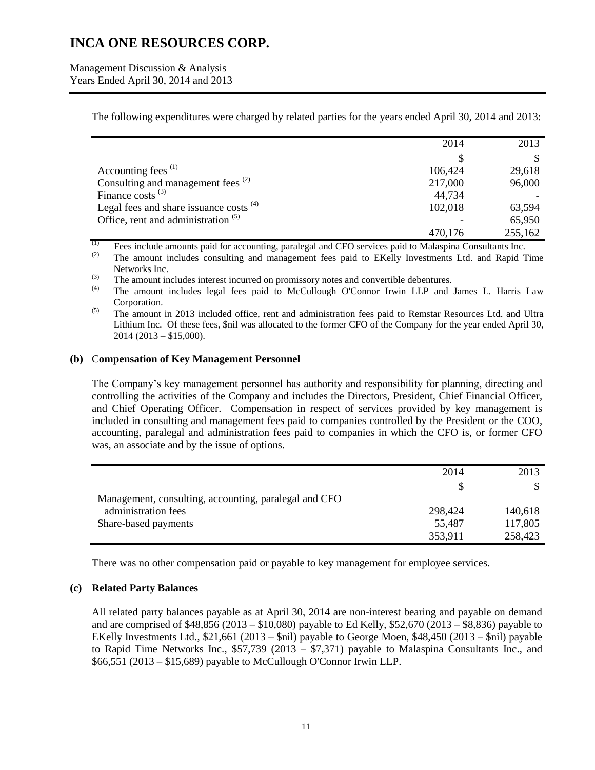Management Discussion & Analysis Years Ended April 30, 2014 and 2013

The following expenditures were charged by related parties for the years ended April 30, 2014 and 2013:

|                                                | 2014    | 2013    |
|------------------------------------------------|---------|---------|
|                                                |         |         |
| Accounting fees <sup>(1)</sup>                 | 106,424 | 29,618  |
| Consulting and management fees <sup>(2)</sup>  | 217,000 | 96,000  |
| Finance costs $^{(3)}$                         | 44,734  |         |
| Legal fees and share issuance costs $(4)$      | 102,018 | 63,594  |
| Office, rent and administration <sup>(5)</sup> |         | 65,950  |
|                                                | 470.176 | 255,162 |

 $\frac{(1)}{(2)}$  Fees include amounts paid for accounting, paralegal and CFO services paid to Malaspina Consultants Inc.

The amount includes consulting and management fees paid to EKelly Investments Ltd. and Rapid Time Networks Inc.

 $\begin{pmatrix} 3 \end{pmatrix}$  The amount includes interest incurred on promissory notes and convertible debentures.

(4) The amount includes legal fees paid to McCullough O'Connor Irwin LLP and James L. Harris Law Corporation.

<sup>(5)</sup> The amount in 2013 included office, rent and administration fees paid to Remstar Resources Ltd. and Ultra Lithium Inc. Of these fees, \$nil was allocated to the former CFO of the Company for the year ended April 30, 2014 (2013 – \$15,000).

#### **(b)** C**ompensation of Key Management Personnel**

The Company's key management personnel has authority and responsibility for planning, directing and controlling the activities of the Company and includes the Directors, President, Chief Financial Officer, and Chief Operating Officer. Compensation in respect of services provided by key management is included in consulting and management fees paid to companies controlled by the President or the COO, accounting, paralegal and administration fees paid to companies in which the CFO is, or former CFO was, an associate and by the issue of options.

|                                                       | 2014    | 2013    |
|-------------------------------------------------------|---------|---------|
|                                                       |         |         |
| Management, consulting, accounting, paralegal and CFO |         |         |
| administration fees                                   | 298,424 | 140,618 |
| Share-based payments                                  | 55,487  | 117,805 |
|                                                       | 353,911 | 258,423 |

There was no other compensation paid or payable to key management for employee services.

### **(c) Related Party Balances**

All related party balances payable as at April 30, 2014 are non-interest bearing and payable on demand and are comprised of \$48,856 (2013 – \$10,080) payable to Ed Kelly, \$52,670 (2013 – \$8,836) payable to EKelly Investments Ltd., \$21,661 (2013 – \$nil) payable to George Moen, \$48,450 (2013 – \$nil) payable to Rapid Time Networks Inc., \$57,739 (2013 – \$7,371) payable to Malaspina Consultants Inc., and \$66,551 (2013 – \$15,689) payable to McCullough O'Connor Irwin LLP.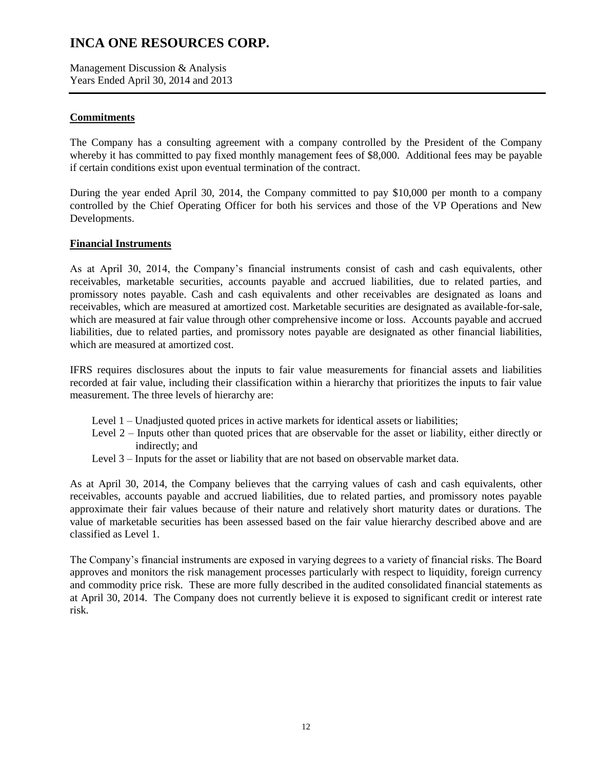Management Discussion & Analysis Years Ended April 30, 2014 and 2013

## **Commitments**

The Company has a consulting agreement with a company controlled by the President of the Company whereby it has committed to pay fixed monthly management fees of \$8,000. Additional fees may be payable if certain conditions exist upon eventual termination of the contract.

During the year ended April 30, 2014, the Company committed to pay \$10,000 per month to a company controlled by the Chief Operating Officer for both his services and those of the VP Operations and New Developments.

### **Financial Instruments**

As at April 30, 2014, the Company's financial instruments consist of cash and cash equivalents, other receivables, marketable securities, accounts payable and accrued liabilities, due to related parties, and promissory notes payable. Cash and cash equivalents and other receivables are designated as loans and receivables, which are measured at amortized cost. Marketable securities are designated as available-for-sale, which are measured at fair value through other comprehensive income or loss. Accounts payable and accrued liabilities, due to related parties, and promissory notes payable are designated as other financial liabilities, which are measured at amortized cost.

IFRS requires disclosures about the inputs to fair value measurements for financial assets and liabilities recorded at fair value, including their classification within a hierarchy that prioritizes the inputs to fair value measurement. The three levels of hierarchy are:

- Level 1 Unadjusted quoted prices in active markets for identical assets or liabilities;
- Level 2 Inputs other than quoted prices that are observable for the asset or liability, either directly or indirectly; and
- Level 3 Inputs for the asset or liability that are not based on observable market data.

As at April 30, 2014, the Company believes that the carrying values of cash and cash equivalents, other receivables, accounts payable and accrued liabilities, due to related parties, and promissory notes payable approximate their fair values because of their nature and relatively short maturity dates or durations. The value of marketable securities has been assessed based on the fair value hierarchy described above and are classified as Level 1.

The Company's financial instruments are exposed in varying degrees to a variety of financial risks. The Board approves and monitors the risk management processes particularly with respect to liquidity, foreign currency and commodity price risk. These are more fully described in the audited consolidated financial statements as at April 30, 2014. The Company does not currently believe it is exposed to significant credit or interest rate risk.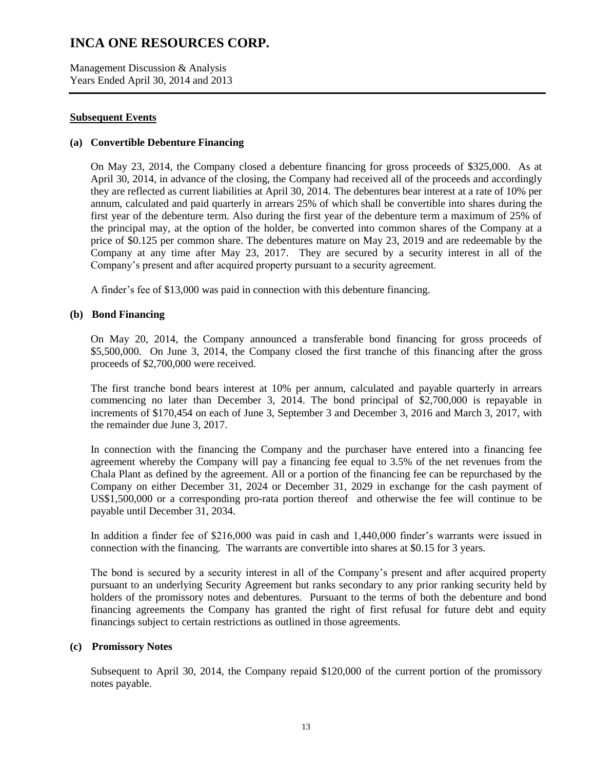Management Discussion & Analysis Years Ended April 30, 2014 and 2013

### **Subsequent Events**

### **(a) Convertible Debenture Financing**

On May 23, 2014, the Company closed a debenture financing for gross proceeds of \$325,000. As at April 30, 2014, in advance of the closing, the Company had received all of the proceeds and accordingly they are reflected as current liabilities at April 30, 2014. The debentures bear interest at a rate of 10% per annum, calculated and paid quarterly in arrears 25% of which shall be convertible into shares during the first year of the debenture term. Also during the first year of the debenture term a maximum of 25% of the principal may, at the option of the holder, be converted into common shares of the Company at a price of \$0.125 per common share. The debentures mature on May 23, 2019 and are redeemable by the Company at any time after May 23, 2017. They are secured by a security interest in all of the Company's present and after acquired property pursuant to a security agreement.

A finder's fee of \$13,000 was paid in connection with this debenture financing.

### **(b) Bond Financing**

On May 20, 2014, the Company announced a transferable bond financing for gross proceeds of \$5,500,000. On June 3, 2014, the Company closed the first tranche of this financing after the gross proceeds of \$2,700,000 were received.

The first tranche bond bears interest at 10% per annum, calculated and payable quarterly in arrears commencing no later than December 3, 2014. The bond principal of \$2,700,000 is repayable in increments of \$170,454 on each of June 3, September 3 and December 3, 2016 and March 3, 2017, with the remainder due June 3, 2017.

In connection with the financing the Company and the purchaser have entered into a financing fee agreement whereby the Company will pay a financing fee equal to 3.5% of the net revenues from the Chala Plant as defined by the agreement. All or a portion of the financing fee can be repurchased by the Company on either December 31, 2024 or December 31, 2029 in exchange for the cash payment of US\$1,500,000 or a corresponding pro-rata portion thereof and otherwise the fee will continue to be payable until December 31, 2034.

In addition a finder fee of \$216,000 was paid in cash and 1,440,000 finder's warrants were issued in connection with the financing. The warrants are convertible into shares at \$0.15 for 3 years.

The bond is secured by a security interest in all of the Company's present and after acquired property pursuant to an underlying Security Agreement but ranks secondary to any prior ranking security held by holders of the promissory notes and debentures. Pursuant to the terms of both the debenture and bond financing agreements the Company has granted the right of first refusal for future debt and equity financings subject to certain restrictions as outlined in those agreements.

### **(c) Promissory Notes**

Subsequent to April 30, 2014, the Company repaid \$120,000 of the current portion of the promissory notes payable.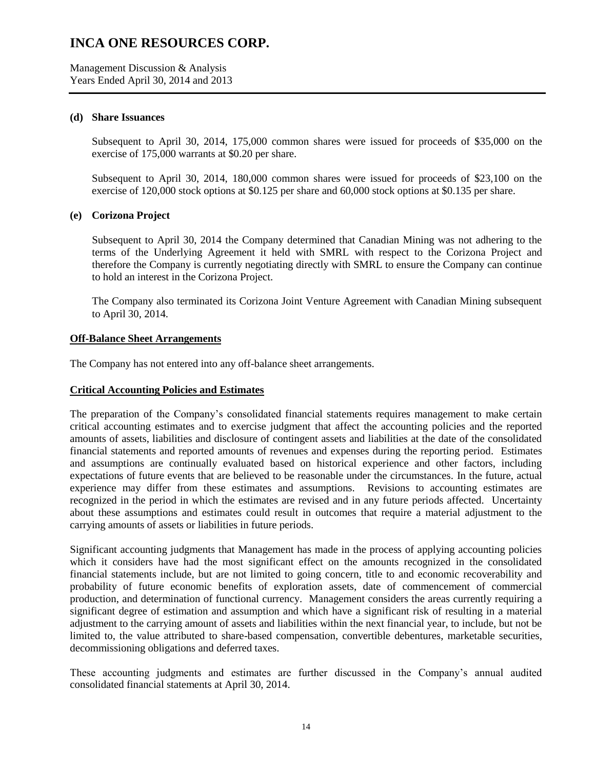Management Discussion & Analysis Years Ended April 30, 2014 and 2013

#### **(d) Share Issuances**

Subsequent to April 30, 2014, 175,000 common shares were issued for proceeds of \$35,000 on the exercise of 175,000 warrants at \$0.20 per share.

Subsequent to April 30, 2014, 180,000 common shares were issued for proceeds of \$23,100 on the exercise of 120,000 stock options at \$0.125 per share and 60,000 stock options at \$0.135 per share.

### **(e) Corizona Project**

Subsequent to April 30, 2014 the Company determined that Canadian Mining was not adhering to the terms of the Underlying Agreement it held with SMRL with respect to the Corizona Project and therefore the Company is currently negotiating directly with SMRL to ensure the Company can continue to hold an interest in the Corizona Project.

The Company also terminated its Corizona Joint Venture Agreement with Canadian Mining subsequent to April 30, 2014.

### **Off-Balance Sheet Arrangements**

The Company has not entered into any off-balance sheet arrangements.

#### **Critical Accounting Policies and Estimates**

The preparation of the Company's consolidated financial statements requires management to make certain critical accounting estimates and to exercise judgment that affect the accounting policies and the reported amounts of assets, liabilities and disclosure of contingent assets and liabilities at the date of the consolidated financial statements and reported amounts of revenues and expenses during the reporting period. Estimates and assumptions are continually evaluated based on historical experience and other factors, including expectations of future events that are believed to be reasonable under the circumstances. In the future, actual experience may differ from these estimates and assumptions. Revisions to accounting estimates are recognized in the period in which the estimates are revised and in any future periods affected. Uncertainty about these assumptions and estimates could result in outcomes that require a material adjustment to the carrying amounts of assets or liabilities in future periods.

Significant accounting judgments that Management has made in the process of applying accounting policies which it considers have had the most significant effect on the amounts recognized in the consolidated financial statements include, but are not limited to going concern, title to and economic recoverability and probability of future economic benefits of exploration assets, date of commencement of commercial production, and determination of functional currency. Management considers the areas currently requiring a significant degree of estimation and assumption and which have a significant risk of resulting in a material adjustment to the carrying amount of assets and liabilities within the next financial year, to include, but not be limited to, the value attributed to share-based compensation, convertible debentures, marketable securities, decommissioning obligations and deferred taxes.

These accounting judgments and estimates are further discussed in the Company's annual audited consolidated financial statements at April 30, 2014.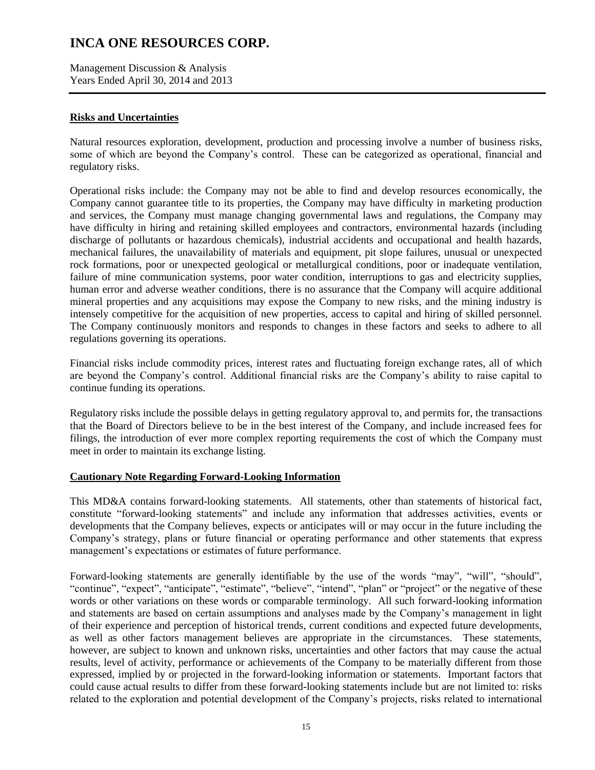Management Discussion & Analysis Years Ended April 30, 2014 and 2013

## **Risks and Uncertainties**

Natural resources exploration, development, production and processing involve a number of business risks, some of which are beyond the Company's control. These can be categorized as operational, financial and regulatory risks.

Operational risks include: the Company may not be able to find and develop resources economically, the Company cannot guarantee title to its properties, the Company may have difficulty in marketing production and services, the Company must manage changing governmental laws and regulations, the Company may have difficulty in hiring and retaining skilled employees and contractors, environmental hazards (including discharge of pollutants or hazardous chemicals), industrial accidents and occupational and health hazards, mechanical failures, the unavailability of materials and equipment, pit slope failures, unusual or unexpected rock formations, poor or unexpected geological or metallurgical conditions, poor or inadequate ventilation, failure of mine communication systems, poor water condition, interruptions to gas and electricity supplies, human error and adverse weather conditions, there is no assurance that the Company will acquire additional mineral properties and any acquisitions may expose the Company to new risks, and the mining industry is intensely competitive for the acquisition of new properties, access to capital and hiring of skilled personnel. The Company continuously monitors and responds to changes in these factors and seeks to adhere to all regulations governing its operations.

Financial risks include commodity prices, interest rates and fluctuating foreign exchange rates, all of which are beyond the Company's control. Additional financial risks are the Company's ability to raise capital to continue funding its operations.

Regulatory risks include the possible delays in getting regulatory approval to, and permits for, the transactions that the Board of Directors believe to be in the best interest of the Company, and include increased fees for filings, the introduction of ever more complex reporting requirements the cost of which the Company must meet in order to maintain its exchange listing.

### **Cautionary Note Regarding Forward-Looking Information**

This MD&A contains forward-looking statements. All statements, other than statements of historical fact, constitute "forward-looking statements" and include any information that addresses activities, events or developments that the Company believes, expects or anticipates will or may occur in the future including the Company's strategy, plans or future financial or operating performance and other statements that express management's expectations or estimates of future performance.

Forward-looking statements are generally identifiable by the use of the words "may", "will", "should", "continue", "expect", "anticipate", "estimate", "believe", "intend", "plan" or "project" or the negative of these words or other variations on these words or comparable terminology. All such forward-looking information and statements are based on certain assumptions and analyses made by the Company's management in light of their experience and perception of historical trends, current conditions and expected future developments, as well as other factors management believes are appropriate in the circumstances. These statements, however, are subject to known and unknown risks, uncertainties and other factors that may cause the actual results, level of activity, performance or achievements of the Company to be materially different from those expressed, implied by or projected in the forward-looking information or statements. Important factors that could cause actual results to differ from these forward-looking statements include but are not limited to: risks related to the exploration and potential development of the Company's projects, risks related to international